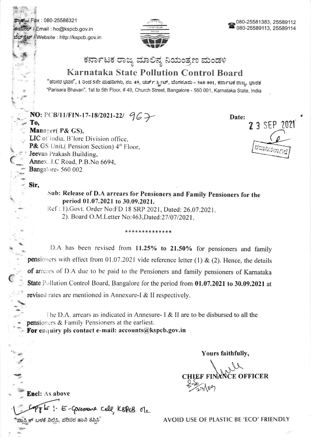Fax: 080-25586321 ಈಮೇಲ್ / Email : ho@kspcb.gov.in ವೆಬ್ಸ್ಟೆಟ್ / Website : http://kspcb.gov.in



# ಕರ್ನಾಟಕ ರಾಜ್ಯ ಮಾಲಿನ್ಯ ನಿಯಂತ್ರಣ ಮಂಡಳಿ

# **Karnataka State Pollution Control Board**

"ಪರಿಸರ ಭವನ", 1 ರಿಂದ 5ನೇ ಮಹಡಿಗಳು, ನಂ. 49, ಚರ್ಚ್ ಸ್ಟ್ರೀಟ್, ಬೆಂಗಳೂರು - 560 001, ಕರ್ನಾಟಕ ರಾಜ್ಯ, ಭಾರತ "Parisara Bhavan", 1st to 5th Floor, #49, Church Street, Bangalore - 560 001, Karnataka State, India

## NO: PCB/11/FIN-17-18/2021-22/  $967$ To,

Date: 2 3 SEP 2021

### Manager( P& GS), LIC of India, B'lore Division office, P& GS Unit,( Pension Section) 4th Floor, Jeevan Prakash Building, Annex. J.C Road, P.B.No 6694,

Bangalore-560 002

**Encl:** As above

ಕ್ರಾಸ್ತಿಕ್ ಬಳಕೆ ನಿಲಿಸಿ, ಪರಿಸರ ಹಾನಿ ತಪ್ಪಿಸಿ'

#### Sir,

Sub: Release of D.A arrears for Pensioners and Family Pensioners for the period 01.07.2021 to 30.09.2021.

Ref: 1).Govt. Order No:FD 18 SRP 2021, Dated: 26.07.2021. 2). Board O.M.Letter No:463,Dated:27/07/2021.

#### \*\*\*\*\*\*\*\*\*\*\*\*\*\*

D.A has been revised from 11.25% to 21.50% for pensioners and family pensioners with effect from 01.07.2021 vide reference letter (1) & (2). Hence, the details of arrears of D.A due to be paid to the Pensioners and family pensioners of Karnataka State Pollution Control Board, Bangalore for the period from 01.07.2021 to 30.09.2021 at revised rates are mentioned in Annexure-I & II respectively.

The D.A. arrears as indicated in Annesure- I & II are to be disbursed to all the pensioners & Family Pensioners at the earliest. For enquiry pls contact e-mail:  $accounts@kspcb.gov.in$ 

Yours faithfully,

F FINANCE OFFICER

1. E-Governous cell, KBPLB ole AVOID USE OF PLASTIC BE 'ECO' FRIENDLY